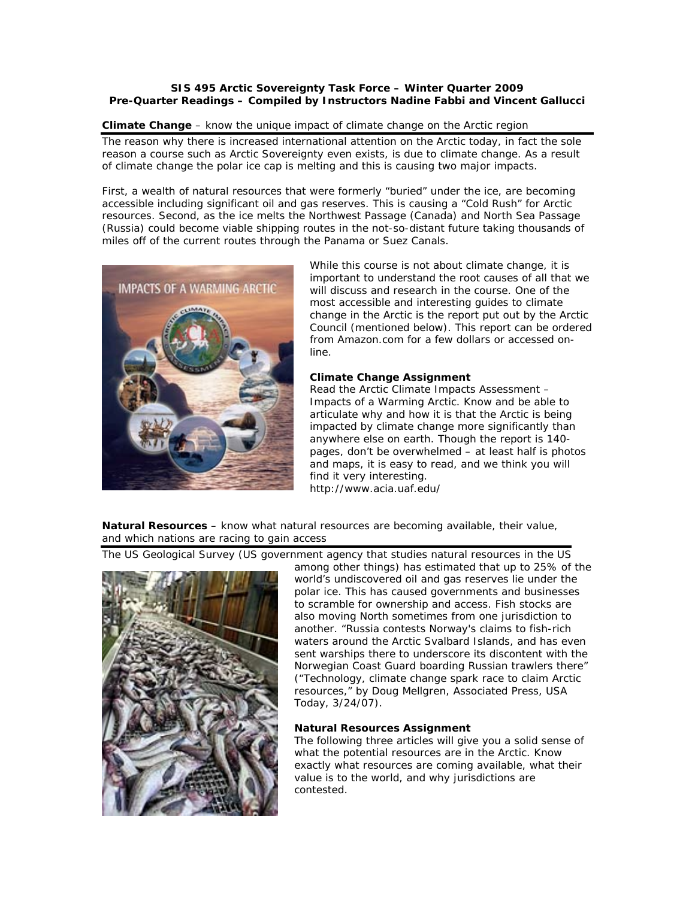## **SIS 495 Arctic Sovereignty Task Force – Winter Quarter 2009 Pre-Quarter Readings – Compiled by Instructors Nadine Fabbi and Vincent Gallucci**

## **Climate Change** – *know the unique impact of climate change on the Arctic region*

The reason why there is increased international attention on the Arctic today, in fact the sole reason a course such as Arctic Sovereignty even exists, is due to climate change. As a result of climate change the polar ice cap is melting and this is causing two major impacts.

First, a wealth of natural resources that were formerly "buried" under the ice, are becoming accessible including significant oil and gas reserves. This is causing a "Cold Rush" for Arctic resources. Second, as the ice melts the Northwest Passage (Canada) and North Sea Passage (Russia) could become viable shipping routes in the not-so-distant future taking thousands of miles off of the current routes through the Panama or Suez Canals.



While this course is not about climate change, it is important to understand the root causes of all that we will discuss and research in the course. One of the most accessible and interesting guides to climate change in the Arctic is the report put out by the Arctic Council (mentioned below). This report can be ordered from Amazon.com for a few dollars or accessed online.

# **Climate Change Assignment**

Read the Arctic Climate Impacts Assessment – *Impacts of a Warming Arctic*. Know and be able to articulate why and how it is that the Arctic is being impacted by climate change more significantly than anywhere else on earth. Though the report is 140 pages, don't be overwhelmed – at least half is photos and maps, it is easy to read, and we think you will find it very interesting. http://www.acia.uaf.edu/

**Natural Resources** – *know what natural resources are becoming available, their value, and which nations are racing to gain access*

The US Geological Survey (US government agency that studies natural resources in the US



among other things) has estimated that up to 25% of the world's undiscovered oil and gas reserves lie under the polar ice. This has caused governments and businesses to scramble for ownership and access. Fish stocks are also moving North sometimes from one jurisdiction to another. "Russia contests Norway's claims to fish-rich waters around the Arctic Svalbard Islands, and has even sent warships there to underscore its discontent with the Norwegian Coast Guard boarding Russian trawlers there" ("Technology, climate change spark race to claim Arctic resources," by Doug Mellgren, Associated Press, *USA Today,* 3/24/07).

# **Natural Resources Assignment**

The following three articles will give you a solid sense of what the potential resources are in the Arctic. Know exactly what resources are coming available, what their value is to the world, and why jurisdictions are contested.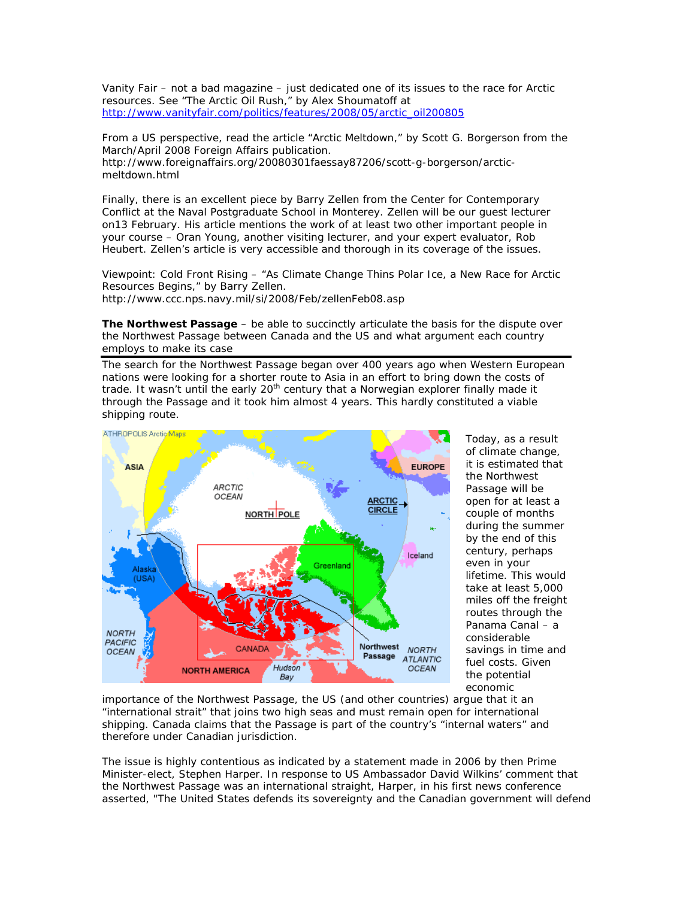*Vanity Fair –* not a bad magazine – just dedicated one of its issues to the race for Arctic resources. See "The Arctic Oil Rush," by Alex Shoumatoff at http://www.vanityfair.com/politics/features/2008/05/arctic\_oil200805

From a US perspective, read the article "Arctic Meltdown," by Scott G. Borgerson from the March/April 2008 *Foreign Affairs* publication. http://www.foreignaffairs.org/20080301faessay87206/scott-g-borgerson/arcticmeltdown.html

Finally, there is an excellent piece by Barry Zellen from the Center for Contemporary Conflict at the Naval Postgraduate School in Monterey. Zellen will be our guest lecturer on13 February. His article mentions the work of at least two other important people in your course – Oran Young, another visiting lecturer, and your expert evaluator, Rob Heubert. Zellen's article is very accessible and thorough in its coverage of the issues.

*Viewpoint: Cold Front Rising* – "As Climate Change Thins Polar Ice, a New Race for Arctic Resources Begins," by Barry Zellen.

http://www.ccc.nps.navy.mil/si/2008/Feb/zellenFeb08.asp

**The Northwest Passage** – *be able to succinctly articulate the basis for the dispute over the Northwest Passage between Canada and the US and what argument each country employs to make its case*

The search for the Northwest Passage began over 400 years ago when Western European nations were looking for a shorter route to Asia in an effort to bring down the costs of trade. It wasn't until the early 20<sup>th</sup> century that a Norwegian explorer finally made it through the Passage and it took him almost 4 years. This hardly constituted a viable shipping route.



Today, as a result of climate change, it is estimated that the Northwest Passage will be open for at least a couple of months during the summer by the end of this century, perhaps even in your lifetime. This would take at least 5,000 miles off the freight routes through the Panama Canal – a considerable savings in time and fuel costs. Given the potential economic

importance of the Northwest Passage, the US (and other countries) argue that it an "international strait" that joins two high seas and must remain open for international shipping. Canada claims that the Passage is part of the country's "internal waters" and therefore under Canadian jurisdiction.

The issue is highly contentious as indicated by a statement made in 2006 by then Prime Minister-elect, Stephen Harper. In response to US Ambassador David Wilkins' comment that the Northwest Passage was an international straight, Harper, in his first news conference asserted, *"The United States defends its sovereignty and the Canadian government will defend*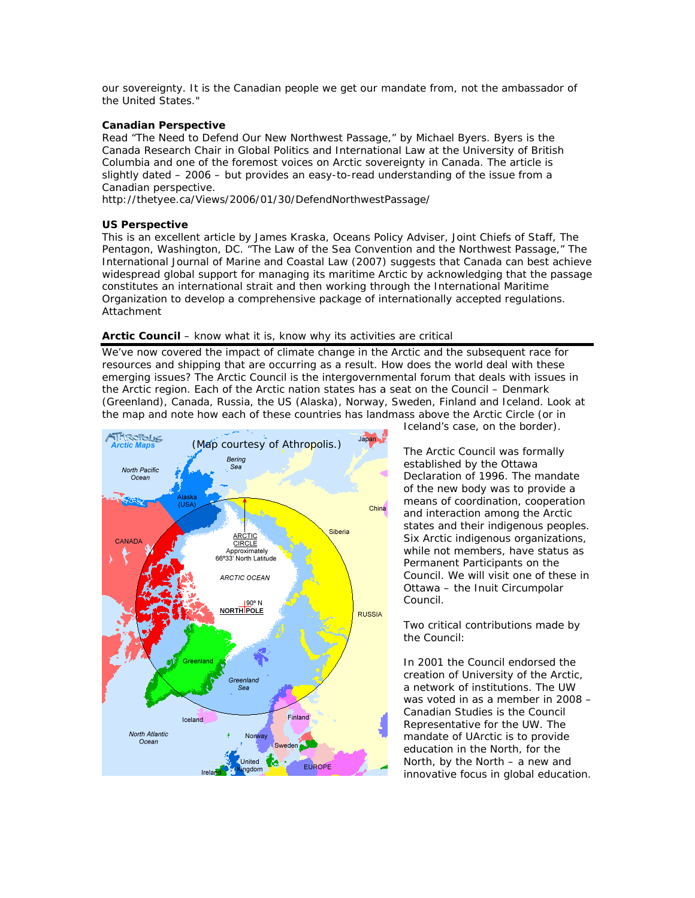*our sovereignty. It is the Canadian people we get our mandate from, not the ambassador of the United States."* 

## **Canadian Perspective**

Read "The Need to Defend Our New Northwest Passage," by Michael Byers. Byers is the Canada Research Chair in Global Politics and International Law at the University of British Columbia and one of the foremost voices on Arctic sovereignty in Canada. The article is slightly dated – 2006 – but provides an easy-to-read understanding of the issue from a Canadian perspective.

http://thetyee.ca/Views/2006/01/30/DefendNorthwestPassage/

#### **US Perspective**

This is an excellent article by James Kraska, Oceans Policy Adviser, Joint Chiefs of Staff, The Pentagon, Washington, DC. "The Law of the Sea Convention and the Northwest Passage," *The International Journal of Marine and Coastal Law* (2007) suggests that Canada can best achieve widespread global support for managing its maritime Arctic by acknowledging that the passage constitutes an international strait and then working through the International Maritime Organization to develop a comprehensive package of internationally accepted regulations. Attachment

#### **Arctic Council** – *know what it is, know why its activities are critical*

We've now covered the impact of climate change in the Arctic and the subsequent race for resources and shipping that are occurring as a result. How does the world deal with these emerging issues? The Arctic Council is *the* intergovernmental forum that deals with issues in the Arctic region. Each of the Arctic nation states has a seat on the Council – Denmark (Greenland), Canada, Russia, the US (Alaska), Norway, Sweden, Finland and Iceland. Look at the map and note how each of these countries has landmass above the Arctic Circle (or in



Iceland's case, on the border).

The Arctic Council was formally established by the Ottawa Declaration of 1996. The mandate of the new body was to provide a means of coordination, cooperation and interaction among the Arctic states *and* their indigenous peoples. Six Arctic indigenous organizations, while not members, have status as Permanent Participants on the Council. We will visit one of these in Ottawa – the Inuit Circumpolar Council.

Two critical contributions made by the Council:

In 2001 the Council endorsed the creation of University of the Arctic, a network of institutions. The UW was voted in as a member in 2008 – Canadian Studies is the Council Representative for the UW. The mandate of UArctic is to provide education in the North, for the North, by the North – a new and innovative focus in global education.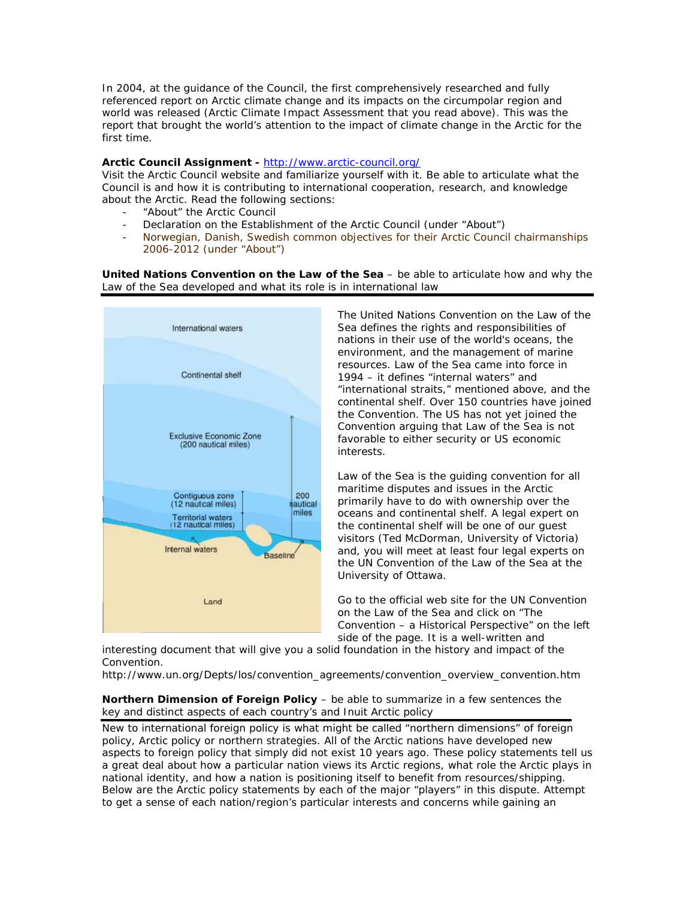In 2004, at the guidance of the Council, the first comprehensively researched and fully referenced report on Arctic climate change and its impacts on the circumpolar region and world was released (*Arctic Climate Impact Assessment* that you read above). This was the report that brought the world's attention to the impact of climate change in the Arctic for the first time.

## **Arctic Council Assignment -** http://www.arctic-council.org/

Visit the Arctic Council website and familiarize yourself with it. Be able to articulate what the Council is and how it is contributing to international cooperation, research, and knowledge about the Arctic. Read the following sections:

- "About" the Arctic Council
- Declaration on the Establishment of the Arctic Council (under "About")
- Norwegian, Danish, Swedish common objectives for their Arctic Council chairmanships 2006-2012 (under "About")

**United Nations Convention on the Law of the Sea** – *be able to articulate how and why the Law of the Sea developed and what its role is in international law* 



The United Nations Convention on the Law of the Sea defines the rights and responsibilities of nations in their use of the world's oceans, the environment, and the management of marine resources. Law of the Sea came into force in 1994 – it defines "internal waters" and "international straits," mentioned above, and the continental shelf. Over 150 countries have joined the Convention. The US has not yet joined the Convention arguing that Law of the Sea is not favorable to either security or US economic interests.

Law of the Sea is *the* guiding convention for all maritime disputes and issues in the Arctic primarily have to do with ownership over the oceans and continental shelf. A legal expert on the continental shelf will be one of our guest visitors (Ted McDorman, University of Victoria) and, you will meet at least four legal experts on the UN Convention of the Law of the Sea at the University of Ottawa.

Go to the official web site for the UN Convention on the Law of the Sea and click on "The Convention – a Historical Perspective" on the left side of the page. It is a well-written and

interesting document that will give you a solid foundation in the history and impact of the Convention.

http://www.un.org/Depts/los/convention\_agreements/convention\_overview\_convention.htm

#### **Northern Dimension of Foreign Policy** – *be able to summarize in a few sentences the key and distinct aspects of each country's and Inuit Arctic policy*

New to international foreign policy is what might be called "northern dimensions" of foreign policy, Arctic policy or northern strategies. All of the Arctic nations have developed new aspects to foreign policy that simply did not exist 10 years ago. These policy statements tell us a great deal about how a particular nation views its Arctic regions, what role the Arctic plays in national identity, and how a nation is positioning itself to benefit from resources/shipping. Below are the Arctic policy statements by each of the major "players" in this dispute. Attempt to get a sense of each nation/region's particular interests and concerns while gaining an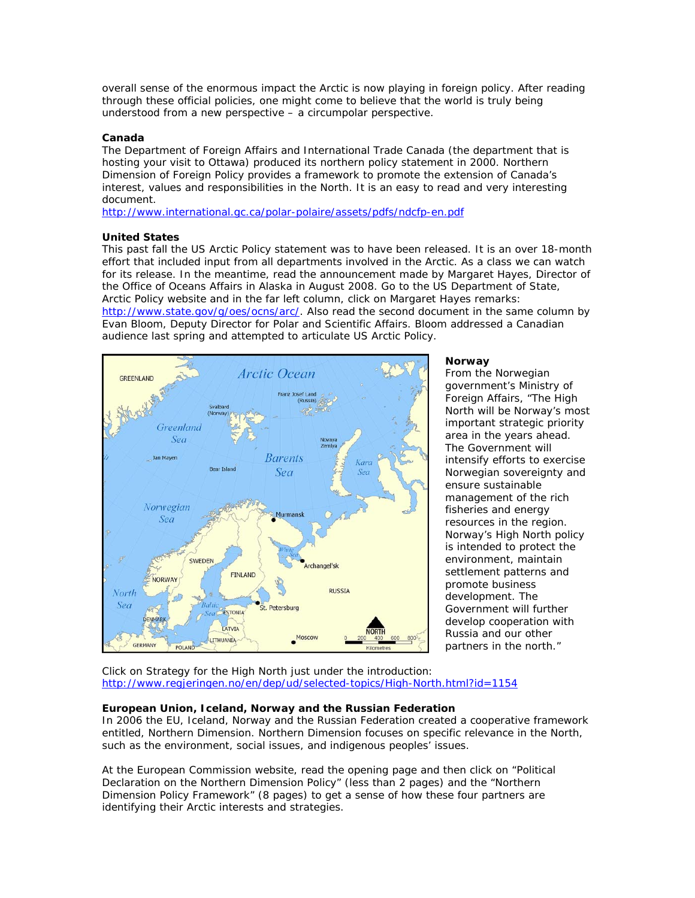overall sense of the enormous impact the Arctic is now playing in foreign policy. After reading through these official policies, one might come to believe that the world is truly being understood from a new perspective – a circumpolar perspective.

## **Canada**

The Department of Foreign Affairs and International Trade Canada (the department that is hosting your visit to Ottawa) produced its northern policy statement in 2000. *Northern Dimension of Foreign Policy* provides a framework to promote the extension of Canada's interest, values and responsibilities in the North. It is an easy to read and very interesting document.

http://www.international.gc.ca/polar-polaire/assets/pdfs/ndcfp-en.pdf

#### **United States**

This past fall the US Arctic Policy statement was to have been released. It is an over 18-month effort that included input from all departments involved in the Arctic. As a class we can watch for its release. In the meantime, read the announcement made by Margaret Hayes, Director of the Office of Oceans Affairs in Alaska in August 2008. Go to the US Department of State, Arctic Policy website and in the far left column, click on Margaret Hayes remarks: http://www.state.gov/g/oes/ocns/arc/. Also read the second document in the same column by Evan Bloom, Deputy Director for Polar and Scientific Affairs. Bloom addressed a Canadian audience last spring and attempted to articulate US Arctic Policy.



#### **Norway**

From the Norwegian government's Ministry of Foreign Affairs, "The High North will be Norway's most important strategic priority area in the years ahead. The Government will intensify efforts to exercise Norwegian sovereignty and ensure sustainable management of the rich fisheries and energy resources in the region. Norway's High North policy is intended to protect the environment, maintain settlement patterns and promote business development. The Government will further develop cooperation with Russia and our other partners in the north."

Click on Strategy for the High North just under the introduction: http://www.regjeringen.no/en/dep/ud/selected-topics/High-North.html?id=1154

# **European Union, Iceland, Norway and the Russian Federation**

In 2006 the EU, Iceland, Norway and the Russian Federation created a cooperative framework entitled, *Northern Dimension*. *Northern Dimension* focuses on specific relevance in the North, such as the environment, social issues, and indigenous peoples' issues.

At the European Commission website, read the opening page and then click on "Political Declaration on the Northern Dimension Policy" (less than 2 pages) and the "Northern Dimension Policy Framework" (8 pages) to get a sense of how these four partners are identifying their Arctic interests and strategies.